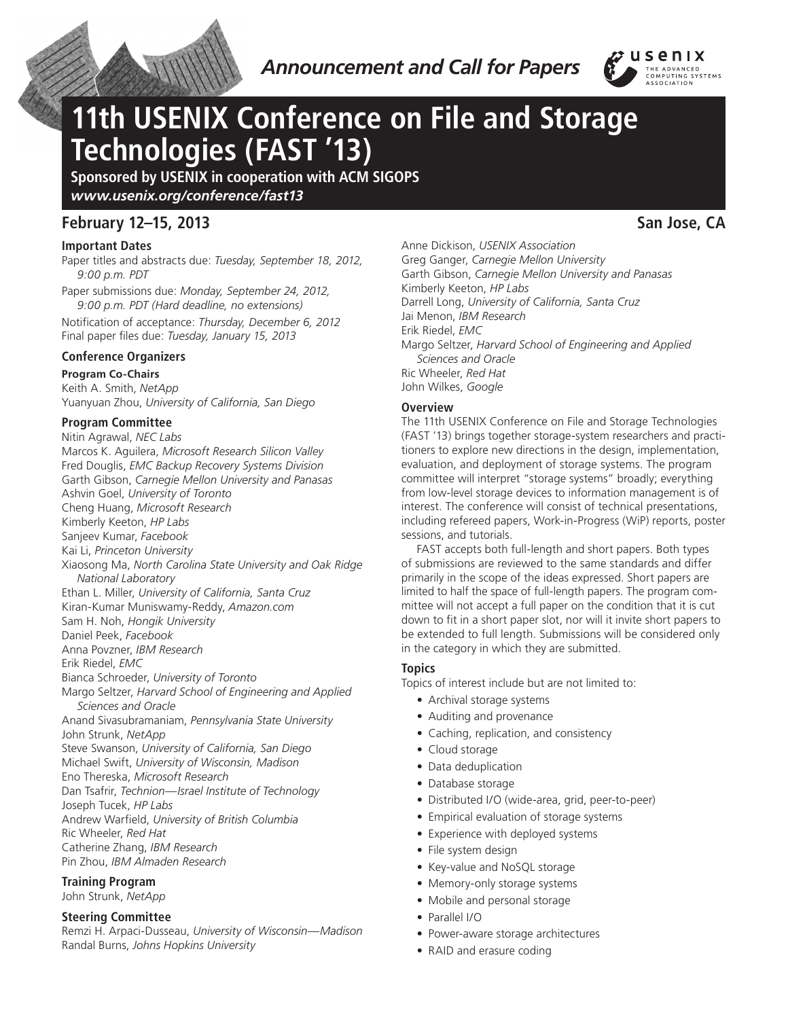

*Announcement and Call for Papers*



# **11th USENIX Conference on File and Storage Technologies (FAST '13)**

**Sponsored by USENIX in cooperation with ACM SIGOPS** *www.usenix.org/conference/fast13*

# **February 12–15, 2013 San Jose, CA**

# **Important Dates**

Paper titles and abstracts due: *Tuesday, September 18, 2012, 9:00 p.m. PDT*

Paper submissions due: *Monday, September 24, 2012, 9:00 p.m. PDT (Hard deadline, no extensions)*

Notification of acceptance: *Thursday, December 6, 2012* Final paper files due: *Tuesday, January 15, 2013*

# **Conference Organizers**

**Program Co-Chairs** Keith A. Smith, *NetApp*

Yuanyuan Zhou, *University of California, San Diego*

# **Program Committee**

Nitin Agrawal, *NEC Labs* Marcos K. Aguilera, *Microsoft Research Silicon Valley* Fred Douglis, *EMC Backup Recovery Systems Division* Garth Gibson, *Carnegie Mellon University and Panasas* Ashvin Goel, *University of Toronto* Cheng Huang, *Microsoft Research* Kimberly Keeton, *HP Labs* Sanjeev Kumar, *Facebook* Kai Li, *Princeton University* Xiaosong Ma, *North Carolina State University and Oak Ridge National Laboratory* Ethan L. Miller, *University of California, Santa Cruz* Kiran-Kumar Muniswamy-Reddy, *Amazon.com* Sam H. Noh, *Hongik University* Daniel Peek, *Facebook* Anna Povzner, *IBM Research* Erik Riedel, *EMC* Bianca Schroeder, *University of Toronto* Margo Seltzer, *Harvard School of Engineering and Applied Sciences and Oracle* Anand Sivasubramaniam, *Pennsylvania State University* John Strunk, *NetApp* Steve Swanson, *University of California, San Diego* Michael Swift, *University of Wisconsin, Madison* Eno Thereska, *Microsoft Research* Dan Tsafrir, *Technion—Israel Institute of Technology* Joseph Tucek, *HP Labs* Andrew Warfield, *University of British Columbia* Ric Wheeler, *Red Hat* Catherine Zhang, *IBM Research* Pin Zhou, *IBM Almaden Research* **Training Program**

John Strunk, *NetApp*

# **Steering Committee**

Remzi H. Arpaci-Dusseau, *University of Wisconsin—Madison* Randal Burns, *Johns Hopkins University*

Anne Dickison, *USENIX Association* Greg Ganger, *Carnegie Mellon University* Garth Gibson, *Carnegie Mellon University and Panasas* Kimberly Keeton, *HP Labs* Darrell Long, *University of California, Santa Cruz* Jai Menon, *IBM Research* Erik Riedel, *EMC* Margo Seltzer, *Harvard School of Engineering and Applied Sciences and Oracle* Ric Wheeler, *Red Hat* John Wilkes, *Google*

# **Overview**

The 11th USENIX Conference on File and Storage Technologies (FAST '13) brings together storage-system researchers and practitioners to explore new directions in the design, implementation, evaluation, and deployment of storage systems. The program committee will interpret "storage systems" broadly; everything from low-level storage devices to information management is of interest. The conference will consist of technical presentations, including refereed papers, Work-in-Progress (WiP) reports, poster sessions, and tutorials.

FAST accepts both full-length and short papers. Both types of submissions are reviewed to the same standards and differ primarily in the scope of the ideas expressed. Short papers are limited to half the space of full-length papers. The program committee will not accept a full paper on the condition that it is cut down to fit in a short paper slot, nor will it invite short papers to be extended to full length. Submissions will be considered only in the category in which they are submitted.

# **Topics**

Topics of interest include but are not limited to:

- Archival storage systems
- Auditing and provenance
- Caching, replication, and consistency
- Cloud storage
- Data deduplication
- Database storage
- • Distributed I/O (wide-area, grid, peer-to-peer)
- Empirical evaluation of storage systems
- Experience with deployed systems
- File system design
- Key-value and NoSQL storage
- Memory-only storage systems
- Mobile and personal storage
- Parallel I/O
- Power-aware storage architectures
- RAID and erasure coding